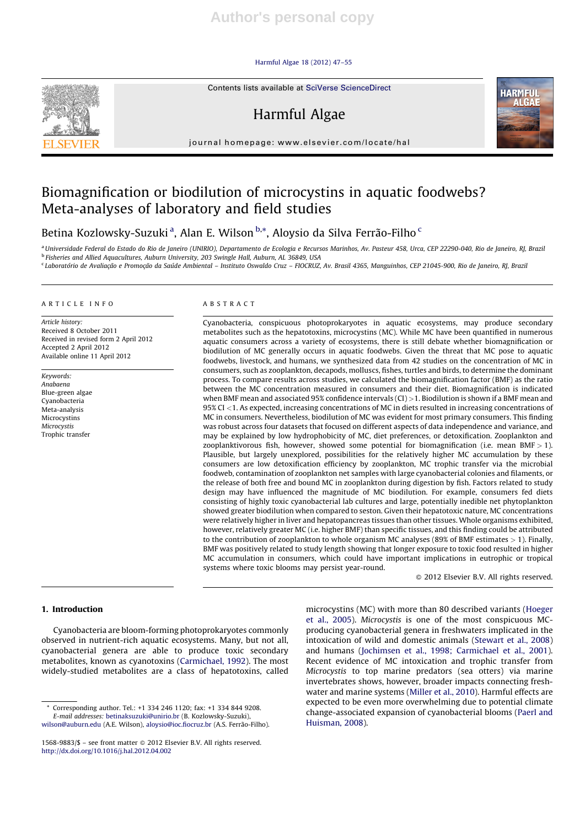# Harmful Algae 18 (2012) 47–55

Contents lists available at SciVerse ScienceDirect

Harmful Algae



journal homepage: www.elsevier.com/locate/hal

# Biomagnification or biodilution of microcystins in aquatic foodwebs? Meta-analyses of laboratory and field studies

Betina Kozlowsky-Suzukia, Alan E. Wilson<sup>b,\*</sup>, Aloysio da Silva Ferrão-Filho <sup>c</sup>

<sup>a</sup> Universidade Federal do Estado do Rio de Janeiro (UNIRIO), Departamento de Ecologia e Recursos Marinhos, Av. Pasteur 458, Urca, CEP 22290-040, Rio de Janeiro, RJ, Brazil <sup>b</sup> Fisheries and Allied Aquacultures, Auburn University, 203 Swingle Hall, Auburn, AL 36849, USA

<sup>c</sup> Laboratório de Avaliação e Promoção da Saúde Ambiental – Instituto Oswaldo Cruz – FIOCRUZ, Av. Brasil 4365, Manguinhos, CEP 21045-900, Rio de Janeiro, RJ, Brazil

# A R T I C L E I N F O

Article history: Received 8 October 2011 Received in revised form 2 April 2012 Accepted 2 April 2012 Available online 11 April 2012

Keywords: Anabaena Blue-green algae Cyanobacteria Meta-analysis Microcystins **Microcystis** Trophic transfer

# A B S T R A C T

Cyanobacteria, conspicuous photoprokaryotes in aquatic ecosystems, may produce secondary metabolites such as the hepatotoxins, microcystins (MC). While MC have been quantified in numerous aquatic consumers across a variety of ecosystems, there is still debate whether biomagnification or biodilution of MC generally occurs in aquatic foodwebs. Given the threat that MC pose to aquatic foodwebs, livestock, and humans, we synthesized data from 42 studies on the concentration of MC in consumers, such as zooplankton, decapods, molluscs, fishes, turtles and birds, to determine the dominant process. To compare results across studies, we calculated the biomagnification factor (BMF) as the ratio between the MC concentration measured in consumers and their diet. Biomagnification is indicated when BMF mean and associated 95% confidence intervals  $(CI) > 1$ . Biodilution is shown if a BMF mean and 95% CI <1. As expected, increasing concentrations of MC in diets resulted in increasing concentrations of MC in consumers. Nevertheless, biodilution of MC was evident for most primary consumers. This finding was robust across four datasets that focused on different aspects of data independence and variance, and may be explained by low hydrophobicity of MC, diet preferences, or detoxification. Zooplankton and zooplanktivorous fish, however, showed some potential for biomagnification (i.e. mean BMF  $>$  1). Plausible, but largely unexplored, possibilities for the relatively higher MC accumulation by these consumers are low detoxification efficiency by zooplankton, MC trophic transfer via the microbial foodweb, contamination of zooplankton net samples with large cyanobacterial colonies and filaments, or the release of both free and bound MC in zooplankton during digestion by fish. Factors related to study design may have influenced the magnitude of MC biodilution. For example, consumers fed diets consisting of highly toxic cyanobacterial lab cultures and large, potentially inedible net phytoplankton showed greater biodilution when compared to seston. Given their hepatotoxic nature, MC concentrations were relatively higher in liver and hepatopancreas tissues than other tissues. Whole organisms exhibited, however, relatively greater MC (i.e. higher BMF) than specific tissues, and this finding could be attributed to the contribution of zooplankton to whole organism MC analyses (89% of BMF estimates  $>$  1). Finally, BMF was positively related to study length showing that longer exposure to toxic food resulted in higher MC accumulation in consumers, which could have important implications in eutrophic or tropical systems where toxic blooms may persist year-round.

- 2012 Elsevier B.V. All rights reserved.

# 1. Introduction

Cyanobacteria are bloom-forming photoprokaryotes commonly observed in nutrient-rich aquatic ecosystems. Many, but not all, cyanobacterial genera are able to produce toxic secondary metabolites, known as cyanotoxins (Carmichael, 1992). The most widely-studied metabolites are a class of hepatotoxins, called microcystins (MC) with more than 80 described variants (Hoeger et al., 2005). Microcystis is one of the most conspicuous MCproducing cyanobacterial genera in freshwaters implicated in the intoxication of wild and domestic animals (Stewart et al., 2008) and humans (Jochimsen et al., 1998; Carmichael et al., 2001). Recent evidence of MC intoxication and trophic transfer from Microcystis to top marine predators (sea otters) via marine invertebrates shows, however, broader impacts connecting freshwater and marine systems (Miller et al., 2010). Harmful effects are expected to be even more overwhelming due to potential climate change-associated expansion of cyanobacterial blooms (Paerl and Huisman, 2008).

Corresponding author. Tel.: +1 334 246 1120; fax: +1 334 844 9208. E-mail addresses: betinaksuzuki@unirio.br (B. Kozlowsky-Suzuki), wilson@auburn.edu (A.E. Wilson), aloysio@ioc.fiocruz.br (A.S. Ferrão-Filho).

 $1568 - 9883$ /\$ – see front matter  $\odot$  2012 Elsevier B.V. All rights reserved. http://dx.doi.org/10.1016/j.hal.2012.04.002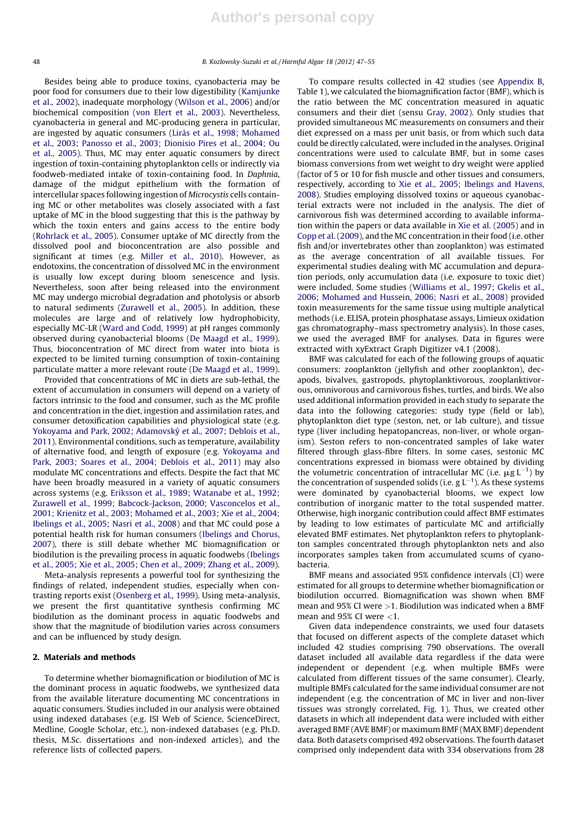# 48 B. Kozlowsky-Suzuki et al. / Harmful Algae 18 (2012) 47–55

Besides being able to produce toxins, cyanobacteria may be poor food for consumers due to their low digestibility (Kamjunke et al., 2002), inadequate morphology (Wilson et al., 2006) and/or biochemical composition (von Elert et al., 2003). Nevertheless, cyanobacteria in general and MC-producing genera in particular, are ingested by aquatic consumers (Lirås et al., 1998; Mohamed et al., 2003; Panosso et al., 2003; Dionisio Pires et al., 2004; Ou et al., 2005). Thus, MC may enter aquatic consumers by direct ingestion of toxin-containing phytoplankton cells or indirectly via foodweb-mediated intake of toxin-containing food. In Daphnia, damage of the midgut epithelium with the formation of intercellular spaces following ingestion of Microcystis cells containing MC or other metabolites was closely associated with a fast uptake of MC in the blood suggesting that this is the pathway by which the toxin enters and gains access to the entire body (Rohrlack et al., 2005). Consumer uptake of MC directly from the dissolved pool and bioconcentration are also possible and significant at times (e.g. Miller et al., 2010). However, as endotoxins, the concentration of dissolved MC in the environment is usually low except during bloom senescence and lysis. Nevertheless, soon after being released into the environment MC may undergo microbial degradation and photolysis or absorb to natural sediments (Zurawell et al., 2005). In addition, these molecules are large and of relatively low hydrophobicity, especially MC-LR (Ward and Codd, 1999) at pH ranges commonly observed during cyanobacterial blooms (De Maagd et al., 1999). Thus, bioconcentration of MC direct from water into biota is expected to be limited turning consumption of toxin-containing particulate matter a more relevant route (De Maagd et al., 1999).

Provided that concentrations of MC in diets are sub-lethal, the extent of accumulation in consumers will depend on a variety of factors intrinsic to the food and consumer, such as the MC profile and concentration in the diet, ingestion and assimilation rates, and consumer detoxification capabilities and physiological state (e.g. Yokoyama and Park, 2002; Adamovský et al., 2007; Deblois et al., 2011). Environmental conditions, such as temperature, availability of alternative food, and length of exposure (e.g. Yokoyama and Park, 2003; Soares et al., 2004; Deblois et al., 2011) may also modulate MC concentrations and effects. Despite the fact that MC have been broadly measured in a variety of aquatic consumers across systems (e.g. Eriksson et al., 1989; Watanabe et al., 1992; Zurawell et al., 1999; Babcock-Jackson, 2000; Vasconcelos et al., 2001; Krienitz et al., 2003; Mohamed et al., 2003; Xie et al., 2004; Ibelings et al., 2005; Nasri et al., 2008) and that MC could pose a potential health risk for human consumers (Ibelings and Chorus, 2007), there is still debate whether MC biomagnification or biodilution is the prevailing process in aquatic foodwebs (Ibelings et al., 2005; Xie et al., 2005; Chen et al., 2009; Zhang et al., 2009).

Meta-analysis represents a powerful tool for synthesizing the findings of related, independent studies, especially when contrasting reports exist (Osenberg et al., 1999). Using meta-analysis, we present the first quantitative synthesis confirming MC biodilution as the dominant process in aquatic foodwebs and show that the magnitude of biodilution varies across consumers and can be influenced by study design.

# 2. Materials and methods

To determine whether biomagnification or biodilution of MC is the dominant process in aquatic foodwebs, we synthesized data from the available literature documenting MC concentrations in aquatic consumers. Studies included in our analysis were obtained using indexed databases (e.g. ISI Web of Science, ScienceDirect, Medline, Google Scholar, etc.), non-indexed databases (e.g. Ph.D. thesis, M.Sc. dissertations and non-indexed articles), and the reference lists of collected papers.

To compare results collected in 42 studies (see Appendix B, Table 1), we calculated the biomagnification factor (BMF), which is the ratio between the MC concentration measured in aquatic consumers and their diet (sensu Gray, 2002). Only studies that provided simultaneous MC measurements on consumers and their diet expressed on a mass per unit basis, or from which such data could be directly calculated, were included in the analyses. Original concentrations were used to calculate BMF, but in some cases biomass conversions from wet weight to dry weight were applied (factor of 5 or 10 for fish muscle and other tissues and consumers, respectively, according to Xie et al., 2005; Ibelings and Havens, 2008). Studies employing dissolved toxins or aqueous cyanobacterial extracts were not included in the analysis. The diet of carnivorous fish was determined according to available information within the papers or data available in Xie et al. (2005) and in Copp et al. (2009), and the MC concentration in their food (i.e. other fish and/or invertebrates other than zooplankton) was estimated as the average concentration of all available tissues. For experimental studies dealing with MC accumulation and depuration periods, only accumulation data (i.e. exposure to toxic diet) were included. Some studies (Williams et al., 1997; Gkelis et al., 2006; Mohamed and Hussein, 2006; Nasri et al., 2008) provided toxin measurements for the same tissue using multiple analytical methods (i.e. ELISA, protein phosphatase assays, Limieux oxidation gas chromatography–mass spectrometry analysis). In those cases, we used the averaged BMF for analyses. Data in figures were extracted with xyExtract Graph Digitizer v4.1 (2008).

BMF was calculated for each of the following groups of aquatic consumers: zooplankton (jellyfish and other zooplankton), decapods, bivalves, gastropods, phytoplanktivorous, zooplanktivorous, omnivorous and carnivorous fishes, turtles, and birds. We also used additional information provided in each study to separate the data into the following categories: study type (field or lab), phytoplankton diet type (seston, net, or lab culture), and tissue type (liver including hepatopancreas, non-liver, or whole organism). Seston refers to non-concentrated samples of lake water filtered through glass-fibre filters. In some cases, sestonic MC concentrations expressed in biomass were obtained by dividing the volumetric concentration of intracellular MC (i.e.  $\mu$ g L<sup>-1</sup>) by the concentration of suspended solids (i.e.  $g L^{-1}$ ). As these systems were dominated by cyanobacterial blooms, we expect low contribution of inorganic matter to the total suspended matter. Otherwise, high inorganic contribution could affect BMF estimates by leading to low estimates of particulate MC and artificially elevated BMF estimates. Net phytoplankton refers to phytoplankton samples concentrated through phytoplankton nets and also incorporates samples taken from accumulated scums of cyanobacteria.

BMF means and associated 95% confidence intervals (CI) were estimated for all groups to determine whether biomagnification or biodilution occurred. Biomagnification was shown when BMF mean and 95% CI were >1. Biodilution was indicated when a BMF mean and 95% CI were <1.

Given data independence constraints, we used four datasets that focused on different aspects of the complete dataset which included 42 studies comprising 790 observations. The overall dataset included all available data regardless if the data were independent or dependent (e.g. when multiple BMFs were calculated from different tissues of the same consumer). Clearly, multiple BMFs calculated for the same individual consumer are not independent (e.g. the concentration of MC in liver and non-liver tissues was strongly correlated, Fig. 1). Thus, we created other datasets in which all independent data were included with either averaged BMF (AVE BMF) or maximum BMF (MAX BMF) dependent data. Both datasets comprised 492 observations. The fourth dataset comprised only independent data with 334 observations from 28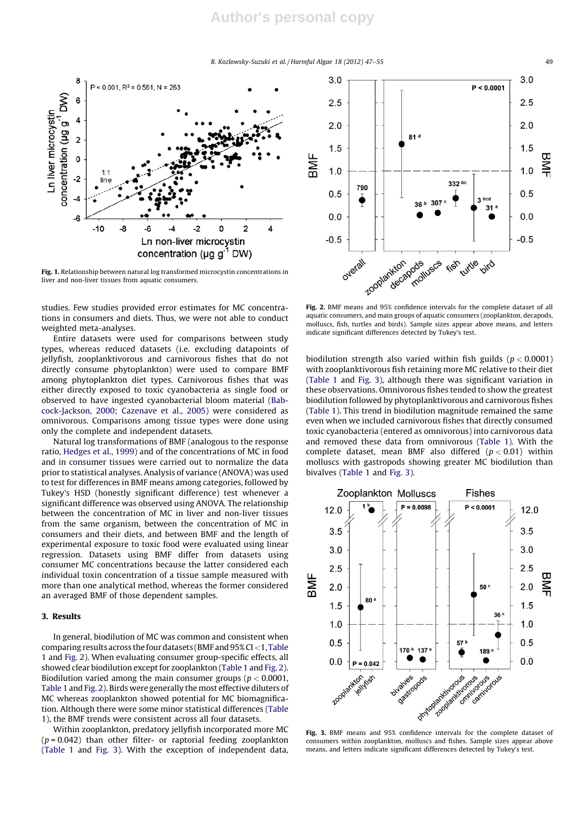B. Kozlowsky-Suzuki et al. / Harmful Algae 18 (2012) 47–55 49



Fig. 1. Relationship between natural log transformed microcystin concentrations in liver and non-liver tissues from aquatic consumers.

studies. Few studies provided error estimates for MC concentrations in consumers and diets. Thus, we were not able to conduct weighted meta-analyses.

Entire datasets were used for comparisons between study types, whereas reduced datasets (i.e. excluding datapoints of jellyfish, zooplanktivorous and carnivorous fishes that do not directly consume phytoplankton) were used to compare BMF among phytoplankton diet types. Carnivorous fishes that was either directly exposed to toxic cyanobacteria as single food or observed to have ingested cyanobacterial bloom material (Babcock-Jackson, 2000; Cazenave et al., 2005) were considered as omnivorous. Comparisons among tissue types were done using only the complete and independent datasets.

Natural log transformations of BMF (analogous to the response ratio, Hedges et al., 1999) and of the concentrations of MC in food and in consumer tissues were carried out to normalize the data prior to statistical analyses. Analysis of variance (ANOVA) was used to test for differences in BMF means among categories, followed by Tukey's HSD (honestly significant difference) test whenever a significant difference was observed using ANOVA. The relationship between the concentration of MC in liver and non-liver tissues from the same organism, between the concentration of MC in consumers and their diets, and between BMF and the length of experimental exposure to toxic food were evaluated using linear regression. Datasets using BMF differ from datasets using consumer MC concentrations because the latter considered each individual toxin concentration of a tissue sample measured with more than one analytical method, whereas the former considered an averaged BMF of those dependent samples.

# 3. Results

In general, biodilution of MC was common and consistent when comparing results across the four datasets (BMF and 95% CI < 1, Table 1 and Fig. 2). When evaluating consumer group-specific effects, all showed clear biodilution except for zooplankton (Table 1 and Fig. 2). Biodilution varied among the main consumer groups ( $p < 0.0001$ , Table 1 and Fig. 2). Birds were generally the most effective diluters of MC whereas zooplankton showed potential for MC biomagnification. Although there were some minor statistical differences (Table 1), the BMF trends were consistent across all four datasets.

Within zooplankton, predatory jellyfish incorporated more MC  $(p = 0.042)$  than other filter- or raptorial feeding zooplankton (Table 1 and Fig. 3). With the exception of independent data,



Fig. 2. BMF means and 95% confidence intervals for the complete dataset of all aquatic consumers, and main groups of aquatic consumers (zooplankton, decapods, molluscs, fish, turtles and birds). Sample sizes appear above means, and letters indicate significant differences detected by Tukey's test.

biodilution strength also varied within fish guilds ( $p < 0.0001$ ) with zooplanktivorous fish retaining more MC relative to their diet (Table 1 and Fig. 3), although there was significant variation in these observations. Omnivorous fishes tended to show the greatest biodilution followed by phytoplanktivorous and carnivorous fishes (Table 1). This trend in biodilution magnitude remained the same even when we included carnivorous fishes that directly consumed toxic cyanobacteria (entered as omnivorous) into carnivorous data and removed these data from omnivorous (Table 1). With the complete dataset, mean BMF also differed  $(p < 0.01)$  within molluscs with gastropods showing greater MC biodilution than bivalves (Table 1 and Fig. 3).



Fig. 3. BMF means and 95% confidence intervals for the complete dataset of consumers within zooplankton, molluscs and fishes. Sample sizes appear above means, and letters indicate significant differences detected by Tukey's test.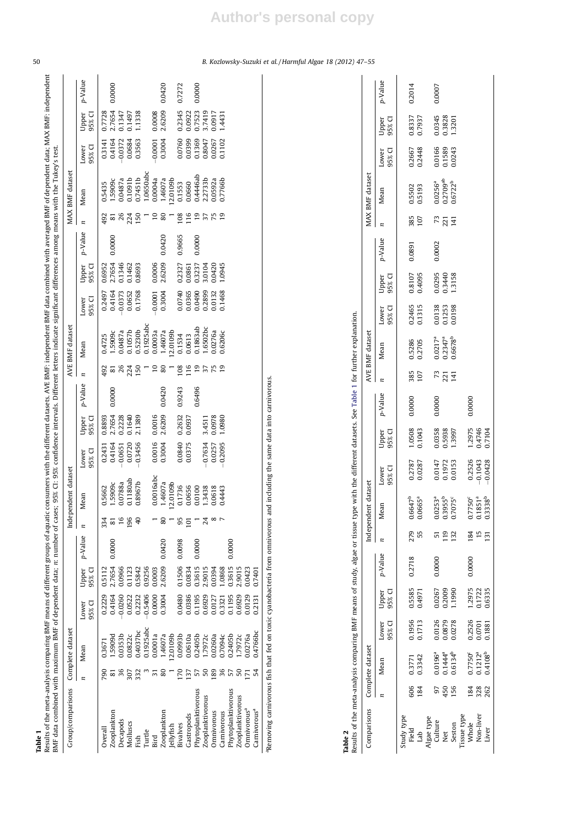$\overline{1}$ Table 1<br>Results of the meta-analysis comparing BMF means of different groups of aquatic consumers with the different datasets. AVE BMF: independent BMF data combined with averaged BMF of dependent data; MAX BMF: independen Results of the meta-analysis comparing BMF means of different groups of aquatic consumers with the different datasets. AVE BMF: independent BMF data combined with averaged BMF of dependent data; MAX BMF: independent BMF data combined with maximum BMF of dependent data; n: number of cases; 95% CI: 95% confidence intervals. Different letters indicate significant differences among means with the Tukey's test.

| Group/comparisons Complete dataset                                                        |     |                      |                    |                 |         | Indep | endent dataset                              |                   |                                      |         |                | AVE BMF dataset               |                  |                            |         |     | MAX BMF dataset     |                  |                                                |         |
|-------------------------------------------------------------------------------------------|-----|----------------------|--------------------|-----------------|---------|-------|---------------------------------------------|-------------------|--------------------------------------|---------|----------------|-------------------------------|------------------|----------------------------|---------|-----|---------------------|------------------|------------------------------------------------|---------|
|                                                                                           |     | Mean                 | $95\%$ Cl<br>Lower | Upper<br>95% CI | p-Value |       | Mean                                        | Lower<br>95% CI   | Upper<br>95% CI                      | p-Value |                | Mean                          | 95% CI<br>Lower  | Upper<br>95% CI            | p-Value |     | Mean                | 95% CI<br>Lower  | Upper<br>95% CI                                | p-Value |
| Overall                                                                                   | 56  | 0.3671               | 0.2229             | 0.5112          |         | 334   | 0.5662                                      | 0.2431            |                                      |         | 492            | 0.4725                        | 0.2497           | 0.6952                     |         | 492 | 0.5435              |                  |                                                |         |
| Zooplankton                                                                               |     | 1.5909c              | 0.4164             | 2.7654          | 0.0000  | ္တ    | 1.5909c                                     |                   | 0.8893<br>2.7654<br>0.2228<br>0.1640 | 0.0000  | ವ              | 1.5909c                       | 0.4164           |                            | 0.0000  | ∞   | 1.5909c             | 0.3141<br>0.4164 | 0.7728<br>2.7654<br>0.1347<br>0.1497           | 0.0000  |
| Decapods                                                                                  |     | 0353b                | 0.0260             | 0.0966          |         |       | 0.0788a                                     | 0.4164<br>-0.0651 |                                      |         |                |                               | $-0.0373$        |                            |         |     | 0.0487a             | $-0.0372$        |                                                |         |
| Molluscs                                                                                  |     | 0.0822c              | 0.0522             | 0.1123          |         | 196   | 0.1180ab                                    | 0.0720            |                                      |         | 24             | 0.0487a<br>0.1057b            | 0.0652           | 2.7654<br>0.1346<br>0.1462 |         |     |                     | 0.0684           |                                                |         |
| Fish                                                                                      | 332 | 0.4037bc             | 0.2232             | 0.5842          |         |       | 0.8967b                                     | $-0.3456$         | 2.1389                               |         | $\frac{50}{2}$ | 0.5230b                       | 0.1768           | 0.8693                     |         | 50  | 0.1091b<br>0.7451b  | 0.3563           | 1.1338                                         |         |
| Turtle                                                                                    |     | 0.1925abc            | 0.5406             | 0.9256          |         |       |                                             |                   |                                      |         |                | 0.1925ab                      |                  |                            |         |     | 1.0650ab            |                  |                                                |         |
| Bird                                                                                      |     | 0.0001 a             | 0.0000             | 0.0003          |         |       | 0.0016abc                                   | 0.0016            |                                      |         |                | 0.0003a                       | $-0.0001$        |                            |         |     | 0.0004a             | $-0.0001$        | 0.0008                                         |         |
| Zooplankton                                                                               |     | 1.4607a              | 0.3004             | 2.6209          | 0.0420  | 80    | 1.4607a                                     | 0.3004            | 0.0016<br>2.6209                     | 0.0420  |                |                               | 0.3004           | 0.0006<br>2.6209           | 0.0420  |     |                     | 0.3004           | 2.6209                                         | 0.0420  |
| Jellyfish                                                                                 |     | 12.0109 <sub>b</sub> |                    |                 |         |       | 12.0109b                                    |                   |                                      |         |                | 1.4607a<br>12.0109b<br>0.1534 |                  |                            |         |     | 1.4607a<br>12.0109b |                  |                                                |         |
| <b>Bivalves</b>                                                                           |     | 0.0993b              | 0.0480             | 0.1506          | 0.0098  | 56    | 0.1736                                      |                   |                                      | 0.9243  |                |                               |                  |                            | 0.9665  |     | 0.1553              |                  |                                                | 0.7272  |
| Gastropods                                                                                |     | 0.0610a              | 0.0386             | 0.0834          |         | ē     | 0.0656                                      | 0.0840<br>0.0375  | 0.2632<br>0.0937                     |         |                | 0.0613                        | 0.0740<br>0.0365 | 0.2327                     |         |     | 0.0660              | 0.0760           |                                                |         |
| Phytoplanktivorous                                                                        |     | 0.2405b              | 0.1195             | 0.3615          | 0.0000  |       | 0.0100                                      |                   |                                      | 0.6496  |                | $.1863$ at                    | 0.0490           |                            | 0.0000  |     | 0.4446ab            | 0.1369           | 0.2345<br>0.0922<br>0.7523<br>3.7419<br>0.0917 | 0.0000  |
| Zooplanktivorous                                                                          |     | 1.7972c              | 0.6929             | 2.9015          |         | 24    | 1.3438                                      | 0.7634            |                                      |         |                | .6502 <sub>b</sub>            | 0.2899           | 0.3237<br>8.0104<br>0.0420 |         |     | 2.2733b             | 1.8047<br>1.0267 |                                                |         |
| Omnivorous                                                                                | 189 | 0.0260a              | 0.0127             | 0.0394          |         | ∞     | 0.0618                                      | 0.0257            | 3.4511<br>0.0978                     |         |                | 0276a                         | 0.0132           |                            |         |     | 0.0592a             |                  |                                                |         |
| Carnivorous                                                                               |     | 1.7094               | 0.3321             | 1.0868          |         | r     | 1.4443                                      | 0.2095            | 1,0980                               |         |                | 0.6206c                       | 0.1468           | 1.0945                     |         |     | 0.7766b             | 0.1102           | 1.4431                                         |         |
| Phytoplanktivorous                                                                        |     | 0.2405b              | 0.1195             | 0.3615          | 0.0000  |       |                                             |                   |                                      |         |                |                               |                  |                            |         |     |                     |                  |                                                |         |
| Zooplanktivorous                                                                          |     | .7972c               | 0.6929             | 2.9015          |         |       |                                             |                   |                                      |         |                |                               |                  |                            |         |     |                     |                  |                                                |         |
| Omnivorous <sup>a</sup>                                                                   |     | 0.0276a              | 0.0129             | 0.0423          |         |       |                                             |                   |                                      |         |                |                               |                  |                            |         |     |                     |                  |                                                |         |
| Carnivorous <sup>a</sup>                                                                  | 54  | 0.4766bc             | 0.2131             | 0.7401          |         |       |                                             |                   |                                      |         |                |                               |                  |                            |         |     |                     |                  |                                                |         |
| $\frac{1}{2}$ emoving carnivorous fish that fed on toxic cyanohacteria from omnivorous as |     |                      |                    |                 |         |       | ad including the same data into carnivorous |                   |                                      |         |                |                               |                  |                            |         |     |                     |                  |                                                |         |

Removing carnivorous fish that fed on toxic cyanobacteria from omnivorous and including the same data into carnivorous. 5  $\frac{5}{10}$ 

# Table 2<br>Results of the

 $\frac{1}{2}$  aring BMF means of study algae or tissue type with the different datasets. See Table 1 for further explanation Results of the meta-analysis comparing BMF means of study, algae or tissue type with the different datasets. See Table 1 for further explanation. analysis meta-

| Comparisons                                                                                               |     | Complete dataset                                                        |                                                           |                            |         |                | Independent dataset                                                     |                                                             |                            |         |                  | AVE BMF dataset                                         |                            |                            |         |     | MAX BMF dataset                                          |                            |                            |         |
|-----------------------------------------------------------------------------------------------------------|-----|-------------------------------------------------------------------------|-----------------------------------------------------------|----------------------------|---------|----------------|-------------------------------------------------------------------------|-------------------------------------------------------------|----------------------------|---------|------------------|---------------------------------------------------------|----------------------------|----------------------------|---------|-----|----------------------------------------------------------|----------------------------|----------------------------|---------|
|                                                                                                           |     | Mean                                                                    | Lower<br>95% CI                                           | Upper<br>95% CI            | p-Value |                | Mean                                                                    | 95% CI<br>Lower                                             | Upper<br>95% CI            | p-Value |                  | Mean                                                    | Lower<br>95% CI            | Upper<br>95% CI            | p-Value |     | Mean                                                     | Lower<br>95% CI            | Upper<br>95% CI            | p-Value |
| Study type<br>Field<br>Lab<br>Algae type<br>Culture<br>Culture<br>Note<br>Seston<br>Seston<br>Tissue type |     |                                                                         |                                                           |                            |         |                |                                                                         |                                                             |                            |         |                  |                                                         |                            |                            |         |     |                                                          |                            |                            |         |
|                                                                                                           | 606 |                                                                         |                                                           |                            | 0.2718  | 279<br>55      | $0.6647^b$<br>$0.0665^a$                                                |                                                             |                            | 0.0000  | 385<br>107       |                                                         |                            |                            | 0.0891  | 385 |                                                          |                            |                            | 0.2014  |
|                                                                                                           | 184 | 0.3771<br>0.3342                                                        | 0.1956<br>0.1713                                          | 0.5585<br>0.4971           |         |                |                                                                         | 0.2787<br>0.0287                                            | 1.0508<br>0.1043           |         |                  | 0.5286<br>0.2705                                        | 0.2465<br>0.1315           | 0.8107<br>0.4095           |         | 107 | 0.5502<br>0.5193                                         | 0.2667<br>0.2448           | 0.8337<br>0.7937           |         |
|                                                                                                           |     |                                                                         |                                                           |                            |         |                |                                                                         |                                                             |                            |         |                  |                                                         |                            |                            |         |     |                                                          |                            |                            |         |
|                                                                                                           |     |                                                                         |                                                           |                            | 0.0000  |                |                                                                         |                                                             |                            | 0.0000  |                  |                                                         |                            |                            | 0.0002  | 73  |                                                          |                            |                            | 0.0007  |
|                                                                                                           | 450 |                                                                         |                                                           | 0.0267<br>0.2009<br>1.1990 |         | $119$<br>$132$ | $0.0253$ <sup>a</sup><br>$0.3955$ <sup>b</sup><br>$0.7075$ <sup>c</sup> | 0.0147<br>0.1972<br>0.0153                                  | 0.0358<br>0.5938<br>1.3997 |         | 73<br>221<br>141 | $0.0217a$<br>0.2347 <sup>a</sup><br>0.6678 <sup>b</sup> | 0.0138<br>0.1253<br>0.0198 | 0.0295<br>0.3440<br>1.3158 |         | 221 | $0.0256a$<br>0.2709 <sup>ab</sup><br>0.6722 <sup>b</sup> | 0.0166<br>0.1589<br>0.0243 | 0.0345<br>0.3828<br>1.3201 |         |
|                                                                                                           | 156 | $0.0196$ <sup>a</sup><br>$0.1444$ <sup>a</sup><br>$0.6134$ <sup>b</sup> | 0.0126<br>0.0879<br>0.0278                                |                            |         |                |                                                                         |                                                             |                            |         |                  |                                                         |                            |                            |         |     |                                                          |                            |                            |         |
|                                                                                                           |     |                                                                         |                                                           |                            |         |                |                                                                         |                                                             |                            |         |                  |                                                         |                            |                            |         |     |                                                          |                            |                            |         |
|                                                                                                           | 184 |                                                                         |                                                           |                            | 0.0000  | 184            |                                                                         |                                                             |                            | 0.0000  |                  |                                                         |                            |                            |         |     |                                                          |                            |                            |         |
| Non-liver                                                                                                 | 328 | 0.7750 <sup>c</sup><br>0.1212 <sup>a</sup><br>0.4108 <sup>b</sup>       | $\begin{array}{c} 0.2526 \\ 0.0701 \\ 0.1881 \end{array}$ | 1.2975<br>0.1722<br>0.6335 |         | $15$<br>131    | $\begin{array}{c} 0.7750^c \\ 0.1851^a \\ 0.3338^b \end{array}$         | $\begin{array}{c} 0.2526 \\ -0.1043 \\ -0.0428 \end{array}$ | 1.2975<br>0.4746<br>0.7104 |         |                  |                                                         |                            |                            |         |     |                                                          |                            |                            |         |
| Liver                                                                                                     | 262 |                                                                         |                                                           |                            |         |                |                                                                         |                                                             |                            |         |                  |                                                         |                            |                            |         |     |                                                          |                            |                            |         |
|                                                                                                           |     |                                                                         |                                                           |                            |         |                |                                                                         |                                                             |                            |         |                  |                                                         |                            |                            |         |     |                                                          |                            |                            |         |

50 B. Kozlowsky-Suzuki et al. / Harmful Algae 18 (2012) 47–55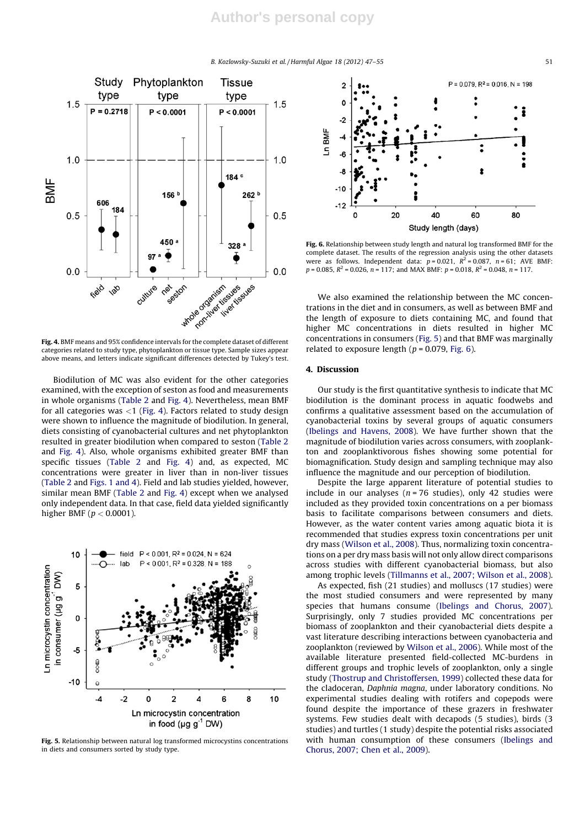B. Kozlowsky-Suzuki et al. / Harmful Algae 18 (2012) 47-55 51

 $1.5$ 

 $1.0$ 

 $0.5$ 

 $0.0$ 

**Tissue** 

type

 $P < 0.0001$ 

184 c

328

Finder tissues

unde or tive in

262 b



Study Phytoplankton

type

 $P < 0.0001$ 

 $156<sup>t</sup>$ 

450<sup>a</sup>

seston **Tex** 

**Q7** 

Culture

type

 $P = 0.2718$ 

606

FIRID 180

184

 $1.5$ 

 $1.0$ 

 $0.5$ 

 $0.0$ 

BMF

Biodilution of MC was also evident for the other categories examined, with the exception of seston as food and measurements in whole organisms (Table 2 and Fig. 4). Nevertheless, mean BMF for all categories was  $<$ 1 (Fig. 4). Factors related to study design were shown to influence the magnitude of biodilution. In general, diets consisting of cyanobacterial cultures and net phytoplankton resulted in greater biodilution when compared to seston (Table 2 and Fig. 4). Also, whole organisms exhibited greater BMF than specific tissues (Table 2 and Fig. 4) and, as expected, MC concentrations were greater in liver than in non-liver tissues (Table 2 and Figs. 1 and 4). Field and lab studies yielded, however, similar mean BMF (Table 2 and Fig. 4) except when we analysed only independent data. In that case, field data yielded significantly higher BMF ( $p < 0.0001$ ).



Fig. 5. Relationship between natural log transformed microcystins concentrations in diets and consumers sorted by study type.



Fig. 6. Relationship between study length and natural log transformed BMF for the complete dataset. The results of the regression analysis using the other datasets were as follows. Independent data:  $p = 0.021$ ,  $R^2 = 0.087$ ,  $n = 61$ ; AVE BMF:  $p = 0.085$ ,  $R^2 = 0.026$ ,  $n = 117$ ; and MAX BMF:  $p = 0.018$ ,  $R^2 = 0.048$ ,  $n = 117$ .

We also examined the relationship between the MC concentrations in the diet and in consumers, as well as between BMF and the length of exposure to diets containing MC, and found that higher MC concentrations in diets resulted in higher MC concentrations in consumers (Fig. 5) and that BMF was marginally related to exposure length ( $p = 0.079$ , Fig. 6).

# 4. Discussion

Our study is the first quantitative synthesis to indicate that MC biodilution is the dominant process in aquatic foodwebs and confirms a qualitative assessment based on the accumulation of cyanobacterial toxins by several groups of aquatic consumers (Ibelings and Havens, 2008). We have further shown that the magnitude of biodilution varies across consumers, with zooplankton and zooplanktivorous fishes showing some potential for biomagnification. Study design and sampling technique may also influence the magnitude and our perception of biodilution.

Despite the large apparent literature of potential studies to include in our analyses ( $n = 76$  studies), only 42 studies were included as they provided toxin concentrations on a per biomass basis to facilitate comparisons between consumers and diets. However, as the water content varies among aquatic biota it is recommended that studies express toxin concentrations per unit dry mass (Wilson et al., 2008). Thus, normalizing toxin concentrations on a per dry mass basis will not only allow direct comparisons across studies with different cyanobacterial biomass, but also among trophic levels (Tillmanns et al., 2007; Wilson et al., 2008).

As expected, fish (21 studies) and molluscs (17 studies) were the most studied consumers and were represented by many species that humans consume (Ibelings and Chorus, 2007). Surprisingly, only 7 studies provided MC concentrations per biomass of zooplankton and their cyanobacterial diets despite a vast literature describing interactions between cyanobacteria and zooplankton (reviewed by Wilson et al., 2006). While most of the available literature presented field-collected MC-burdens in different groups and trophic levels of zooplankton, only a single study (Thostrup and Christoffersen, 1999) collected these data for the cladoceran, Daphnia magna, under laboratory conditions. No experimental studies dealing with rotifers and copepods were found despite the importance of these grazers in freshwater systems. Few studies dealt with decapods (5 studies), birds (3 studies) and turtles (1 study) despite the potential risks associated with human consumption of these consumers (Ibelings and Chorus, 2007; Chen et al., 2009).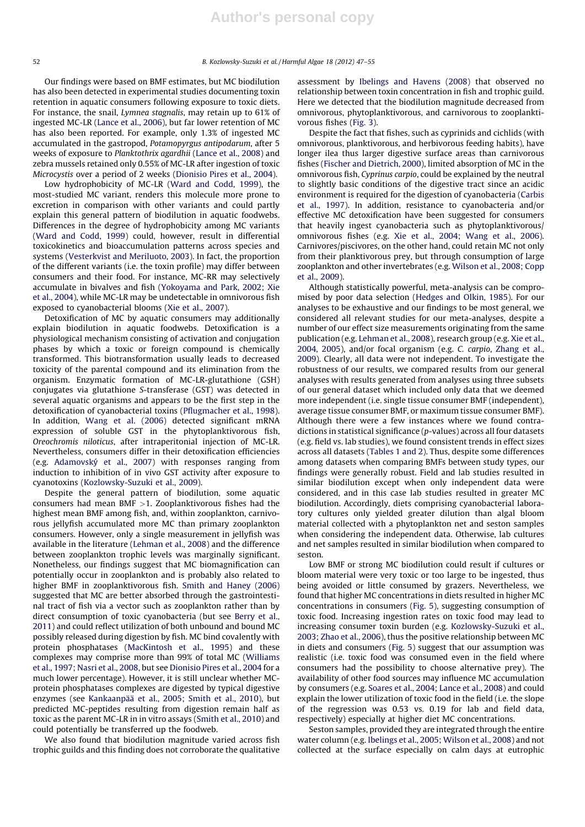Our findings were based on BMF estimates, but MC biodilution has also been detected in experimental studies documenting toxin retention in aquatic consumers following exposure to toxic diets. For instance, the snail, Lymnea stagnalis, may retain up to 61% of ingested MC-LR (Lance et al., 2006), but far lower retention of MC has also been reported. For example, only 1.3% of ingested MC accumulated in the gastropod, Potamopyrgus antipodarum, after 5 weeks of exposure to Planktothrix agardhii (Lance et al., 2008) and zebra mussels retained only 0.55% of MC-LR after ingestion of toxic Microcystis over a period of 2 weeks (Dionisio Pires et al., 2004).

Low hydrophobicity of MC-LR (Ward and Codd, 1999), the most-studied MC variant, renders this molecule more prone to excretion in comparison with other variants and could partly explain this general pattern of biodilution in aquatic foodwebs. Differences in the degree of hydrophobicity among MC variants (Ward and Codd, 1999) could, however, result in differential toxicokinetics and bioaccumulation patterns across species and systems (Vesterkvist and Meriluoto, 2003). In fact, the proportion of the different variants (i.e. the toxin profile) may differ between consumers and their food. For instance, MC-RR may selectively accumulate in bivalves and fish (Yokoyama and Park, 2002; Xie et al., 2004), while MC-LR may be undetectable in omnivorous fish exposed to cyanobacterial blooms (Xie et al., 2007).

Detoxification of MC by aquatic consumers may additionally explain biodilution in aquatic foodwebs. Detoxification is a physiological mechanism consisting of activation and conjugation phases by which a toxic or foreign compound is chemically transformed. This biotransformation usually leads to decreased toxicity of the parental compound and its elimination from the organism. Enzymatic formation of MC-LR-glutathione (GSH) conjugates via glutathione S-transferase (GST) was detected in several aquatic organisms and appears to be the first step in the detoxification of cyanobacterial toxins (Pflugmacher et al., 1998). In addition, Wang et al. (2006) detected significant mRNA expression of soluble GST in the phytoplanktivorous fish, Oreochromis niloticus, after intraperitonial injection of MC-LR. Nevertheless, consumers differ in their detoxification efficiencies (e.g. Adamovsky´ et al., 2007) with responses ranging from induction to inhibition of in vivo GST activity after exposure to cyanotoxins (Kozlowsky-Suzuki et al., 2009).

Despite the general pattern of biodilution, some aquatic consumers had mean BMF >1. Zooplanktivorous fishes had the highest mean BMF among fish, and, within zooplankton, carnivorous jellyfish accumulated more MC than primary zooplankton consumers. However, only a single measurement in jellyfish was available in the literature (Lehman et al., 2008) and the difference between zooplankton trophic levels was marginally significant. Nonetheless, our findings suggest that MC biomagnification can potentially occur in zooplankton and is probably also related to higher BMF in zooplanktivorous fish. Smith and Haney (2006) suggested that MC are better absorbed through the gastrointestinal tract of fish via a vector such as zooplankton rather than by direct consumption of toxic cyanobacteria (but see Berry et al., 2011) and could reflect utilization of both unbound and bound MC possibly released during digestion by fish. MC bind covalently with protein phosphatases (MacKintosh et al., 1995) and these complexes may comprise more than 99% of total MC (Williams et al., 1997; Nasri et al., 2008, but see Dionisio Pires et al., 2004 for a much lower percentage). However, it is still unclear whether MCprotein phosphatases complexes are digested by typical digestive enzymes (see Kankaanpää et al., 2005; Smith et al., 2010), but predicted MC-peptides resulting from digestion remain half as toxic as the parent MC-LR in in vitro assays (Smith et al., 2010) and could potentially be transferred up the foodweb.

We also found that biodilution magnitude varied across fish trophic guilds and this finding does not corroborate the qualitative assessment by Ibelings and Havens (2008) that observed no relationship between toxin concentration in fish and trophic guild. Here we detected that the biodilution magnitude decreased from omnivorous, phytoplanktivorous, and carnivorous to zooplanktivorous fishes (Fig. 3).

Despite the fact that fishes, such as cyprinids and cichlids (with omnivorous, planktivorous, and herbivorous feeding habits), have longer ilea thus larger digestive surface areas than carnivorous fishes (Fischer and Dietrich, 2000), limited absorption of MC in the omnivorous fish, Cyprinus carpio, could be explained by the neutral to slightly basic conditions of the digestive tract since an acidic environment is required for the digestion of cyanobacteria (Carbis et al., 1997). In addition, resistance to cyanobacteria and/or effective MC detoxification have been suggested for consumers that heavily ingest cyanobacteria such as phytoplanktivorous/ omnivorous fishes (e.g. Xie et al., 2004; Wang et al., 2006). Carnivores/piscivores, on the other hand, could retain MC not only from their planktivorous prey, but through consumption of large zooplankton and other invertebrates (e.g. Wilson et al., 2008; Copp et al., 2009).

Although statistically powerful, meta-analysis can be compromised by poor data selection (Hedges and Olkin, 1985). For our analyses to be exhaustive and our findings to be most general, we considered all relevant studies for our meta-analyses, despite a number of our effect size measurements originating from the same publication (e.g. Lehman et al., 2008), research group (e.g. Xie et al., 2004, 2005), and/or focal organism (e.g. C. carpio, Zhang et al., 2009). Clearly, all data were not independent. To investigate the robustness of our results, we compared results from our general analyses with results generated from analyses using three subsets of our general dataset which included only data that we deemed more independent (i.e. single tissue consumer BMF (independent), average tissue consumer BMF, or maximum tissue consumer BMF). Although there were a few instances where we found contradictions in statistical significance (p-values) across all four datasets (e.g. field vs. lab studies), we found consistent trends in effect sizes across all datasets (Tables 1 and 2). Thus, despite some differences among datasets when comparing BMFs between study types, our findings were generally robust. Field and lab studies resulted in similar biodilution except when only independent data were considered, and in this case lab studies resulted in greater MC biodilution. Accordingly, diets comprising cyanobacterial laboratory cultures only yielded greater dilution than algal bloom material collected with a phytoplankton net and seston samples when considering the independent data. Otherwise, lab cultures and net samples resulted in similar biodilution when compared to seston.

Low BMF or strong MC biodilution could result if cultures or bloom material were very toxic or too large to be ingested, thus being avoided or little consumed by grazers. Nevertheless, we found that higher MC concentrations in diets resulted in higher MC concentrations in consumers (Fig. 5), suggesting consumption of toxic food. Increasing ingestion rates on toxic food may lead to increasing consumer toxin burden (e.g. Kozlowsky-Suzuki et al., 2003; Zhao et al., 2006), thus the positive relationship between MC in diets and consumers (Fig. 5) suggest that our assumption was realistic (i.e. toxic food was consumed even in the field where consumers had the possibility to choose alternative prey). The availability of other food sources may influence MC accumulation by consumers (e.g. Soares et al., 2004; Lance et al., 2008) and could explain the lower utilization of toxic food in the field (i.e. the slope of the regression was 0.53 vs. 0.19 for lab and field data, respectively) especially at higher diet MC concentrations.

Seston samples, provided they are integrated through the entire water column (e.g. Ibelings et al., 2005; Wilson et al., 2008) and not collected at the surface especially on calm days at eutrophic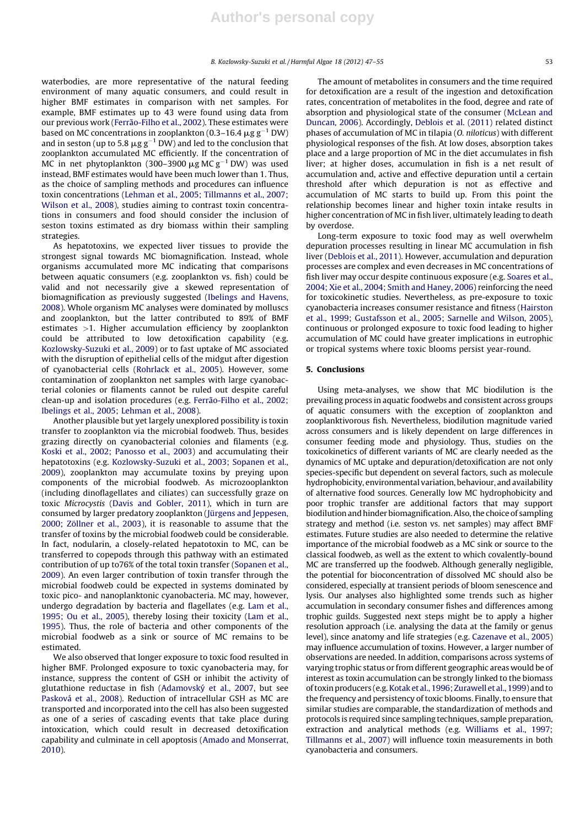waterbodies, are more representative of the natural feeding environment of many aquatic consumers, and could result in higher BMF estimates in comparison with net samples. For example, BMF estimates up to 43 were found using data from our previous work (Ferrão-Filho et al., 2002). These estimates were based on MC concentrations in zooplankton (0.3-16.4  $\mu$ g g $^{-1}$  DW) and in seston (up to 5.8  $\mu$ g g<sup>-1</sup> DW) and led to the conclusion that zooplankton accumulated MC efficiently. If the concentration of MC in net phytoplankton (300–3900  $\mu$ g MC g $^{-1}$  DW) was used instead, BMF estimates would have been much lower than 1. Thus, as the choice of sampling methods and procedures can influence toxin concentrations (Lehman et al., 2005; Tillmanns et al., 2007; Wilson et al., 2008), studies aiming to contrast toxin concentrations in consumers and food should consider the inclusion of seston toxins estimated as dry biomass within their sampling strategies.

As hepatotoxins, we expected liver tissues to provide the strongest signal towards MC biomagnification. Instead, whole organisms accumulated more MC indicating that comparisons between aquatic consumers (e.g. zooplankton vs. fish) could be valid and not necessarily give a skewed representation of biomagnification as previously suggested (Ibelings and Havens, 2008). Whole organism MC analyses were dominated by molluscs and zooplankton, but the latter contributed to 89% of BMF estimates >1. Higher accumulation efficiency by zooplankton could be attributed to low detoxification capability (e.g. Kozlowsky-Suzuki et al., 2009) or to fast uptake of MC associated with the disruption of epithelial cells of the midgut after digestion of cyanobacterial cells (Rohrlack et al., 2005). However, some contamination of zooplankton net samples with large cyanobacterial colonies or filaments cannot be ruled out despite careful clean-up and isolation procedures (e.g. Ferrão-Filho et al., 2002; Ibelings et al., 2005; Lehman et al., 2008).

Another plausible but yet largely unexplored possibility is toxin transfer to zooplankton via the microbial foodweb. Thus, besides grazing directly on cyanobacterial colonies and filaments (e.g. Koski et al., 2002; Panosso et al., 2003) and accumulating their hepatotoxins (e.g. Kozlowsky-Suzuki et al., 2003; Sopanen et al., 2009), zooplankton may accumulate toxins by preying upon components of the microbial foodweb. As microzooplankton (including dinoflagellates and ciliates) can successfully graze on toxic Microcystis (Davis and Gobler, 2011), which in turn are consumed by larger predatory zooplankton (Jürgens and Jeppesen, 2000; Zöllner et al., 2003), it is reasonable to assume that the transfer of toxins by the microbial foodweb could be considerable. In fact, nodularin, a closely-related hepatotoxin to MC, can be transferred to copepods through this pathway with an estimated contribution of up to76% of the total toxin transfer (Sopanen et al., 2009). An even larger contribution of toxin transfer through the microbial foodweb could be expected in systems dominated by toxic pico- and nanoplanktonic cyanobacteria. MC may, however, undergo degradation by bacteria and flagellates (e.g. Lam et al., 1995; Ou et al., 2005), thereby losing their toxicity (Lam et al., 1995). Thus, the role of bacteria and other components of the microbial foodweb as a sink or source of MC remains to be estimated.

We also observed that longer exposure to toxic food resulted in higher BMF. Prolonged exposure to toxic cyanobacteria may, for instance, suppress the content of GSH or inhibit the activity of glutathione reductase in fish (Adamovský et al., 2007, but see Pasková et al., 2008). Reduction of intracellular GSH as MC are transported and incorporated into the cell has also been suggested as one of a series of cascading events that take place during intoxication, which could result in decreased detoxification capability and culminate in cell apoptosis (Amado and Monserrat, 2010).

The amount of metabolites in consumers and the time required for detoxification are a result of the ingestion and detoxification rates, concentration of metabolites in the food, degree and rate of absorption and physiological state of the consumer (McLean and Duncan, 2006). Accordingly, Deblois et al. (2011) related distinct phases of accumulation of MC in tilapia (O. niloticus) with different physiological responses of the fish. At low doses, absorption takes place and a large proportion of MC in the diet accumulates in fish liver; at higher doses, accumulation in fish is a net result of accumulation and, active and effective depuration until a certain threshold after which depuration is not as effective and accumulation of MC starts to build up. From this point the relationship becomes linear and higher toxin intake results in higher concentration of MC in fish liver, ultimately leading to death by overdose.

Long-term exposure to toxic food may as well overwhelm depuration processes resulting in linear MC accumulation in fish liver (Deblois et al., 2011). However, accumulation and depuration processes are complex and even decreases in MC concentrations of fish liver may occur despite continuous exposure (e.g. Soares et al., 2004; Xie et al., 2004; Smith and Haney, 2006) reinforcing the need for toxicokinetic studies. Nevertheless, as pre-exposure to toxic cyanobacteria increases consumer resistance and fitness (Hairston et al., 1999; Gustafsson et al., 2005; Sarnelle and Wilson, 2005), continuous or prolonged exposure to toxic food leading to higher accumulation of MC could have greater implications in eutrophic or tropical systems where toxic blooms persist year-round.

# 5. Conclusions

Using meta-analyses, we show that MC biodilution is the prevailing process in aquatic foodwebs and consistent across groups of aquatic consumers with the exception of zooplankton and zooplanktivorous fish. Nevertheless, biodilution magnitude varied across consumers and is likely dependent on large differences in consumer feeding mode and physiology. Thus, studies on the toxicokinetics of different variants of MC are clearly needed as the dynamics of MC uptake and depuration/detoxification are not only species-specific but dependent on several factors, such as molecule hydrophobicity, environmental variation, behaviour, and availability of alternative food sources. Generally low MC hydrophobicity and poor trophic transfer are additional factors that may support biodilution andhinder biomagnification.Also,the choice of sampling strategy and method (i.e. seston vs. net samples) may affect BMF estimates. Future studies are also needed to determine the relative importance of the microbial foodweb as a MC sink or source to the classical foodweb, as well as the extent to which covalently-bound MC are transferred up the foodweb. Although generally negligible, the potential for bioconcentration of dissolved MC should also be considered, especially at transient periods of bloom senescence and lysis. Our analyses also highlighted some trends such as higher accumulation in secondary consumer fishes and differences among trophic guilds. Suggested next steps might be to apply a higher resolution approach (i.e. analysing the data at the family or genus level), since anatomy and life strategies (e.g. Cazenave et al., 2005) may influence accumulation of toxins. However, a larger number of observations are needed. In addition, comparisons across systems of varying trophic status or from different geographic areas would be of interest as toxin accumulation can be strongly linked to the biomass of toxin producers (e.g. Kotak et al., 1996; Zurawell et al., 1999) and to the frequency and persistency of toxic blooms. Finally, to ensure that similar studies are comparable, the standardization of methods and protocols is required since sampling techniques, sample preparation, extraction and analytical methods (e.g. Williams et al., 1997; Tillmanns et al., 2007) will influence toxin measurements in both cyanobacteria and consumers.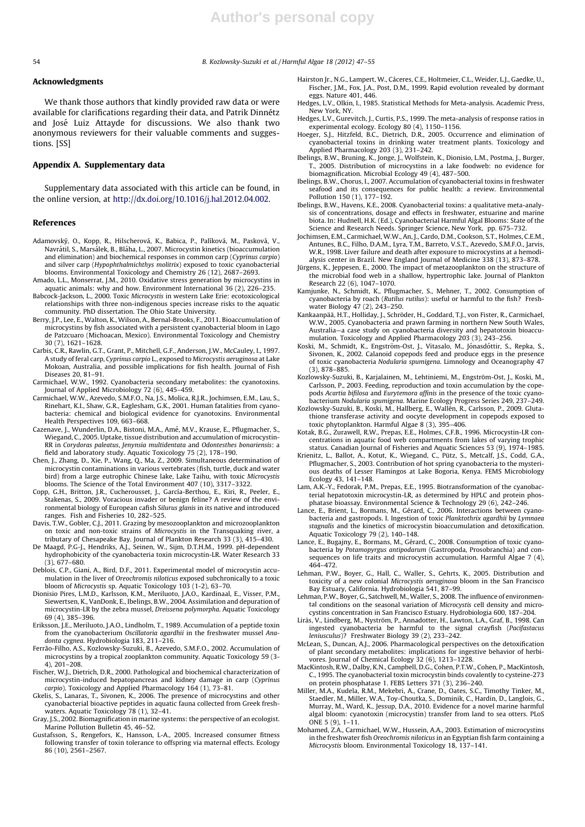54 B. Kozlowsky-Suzuki et al. / Harmful Algae 18 (2012) 47–55

# Acknowledgments

We thank those authors that kindly provided raw data or were available for clarifications regarding their data, and Patrik Dinnétz and José Luiz Attayde for discussions. We also thank two anonymous reviewers for their valuable comments and suggestions. [SS]

# Appendix A. Supplementary data

Supplementary data associated with this article can be found, in the online version, at http://dx.doi.org/10.1016/j.hal.2012.04.002.

# References

- Adamovský, O., Kopp, R., Hilscherová, K., Babica, P., Palíková, M., Pasková, V., Navrátil, S., Marsálek, B., Bláha, L., 2007. Microcystin kinetics (bioaccumulation and elimination) and biochemical responses in common carp (Cyprinus carpio) and silver carp (Hypophthalmichthys molitrix) exposed to toxic cyanobacterial blooms. Environmental Toxicology and Chemistry 26 (12), 2687–2693.
- Amado, L.L., Monserrat, J.M., 2010. Oxidative stress generation by microcystins in aquatic animals: why and how. Environment International 36 (2), 226–235.
- Babcock-Jackson, L., 2000. Toxic Microcystis in western Lake Erie: ecotoxicological relationships with three non-indigenous species increase risks to the aquatic community. PhD dissertation. The Ohio State University.
- Berry, J.P., Lee, E., Walton, K., Wilson, A., Bernal-Brooks, F., 2011. Bioaccumulation of microcystins by fish associated with a persistent cyanobacterial bloom in Lago de Patzcuaro (Michoacan, Mexico). Environmental Toxicology and Chemistry 30 (7), 1621–1628.
- Carbis, C.R., Rawlin, G.T., Grant, P., Mitchell, G.F., Anderson, J.W., McCauley, I., 1997. A study of feral carp, Cyprinus carpio L., exposed to Microcystis aeruginosa at Lake Mokoan, Australia, and possible implications for fish health. Journal of Fish Diseases 20, 81–91.
- Carmichael, W.W., 1992. Cyanobacteria secondary metabolites: the cyanotoxins.
- Journal of Applied Microbiology 72 (6), 445–459. Carmichael, W.W., Azevedo, S.M.F.O., Na, J.S., Molica, R.J.R., Jochimsen, E.M., Lau, S., Rinehart, K.I., Shaw, G.R., Eaglesham, G.K., 2001. Human fatalities from cyanobacteria: chemical and biological evidence for cyanotoxins. Environmental Health Perspectives 109, 663–668.
- Cazenave, J., Wunderlin, D.A., Bistoni, M.A., Amé, M.V., Krause, E., Pflugmacher, S., Wiegand, C., 2005. Uptake, tissue distribution and accumulation of microcystin-RR in Corydoras paleatus, Jenynsia multidentata and Odontesthes bonariensis: a field and laboratory study. Aquatic Toxicology 75 (2), 178–190.
- Chen, J., Zhang, D., Xie, P., Wang, Q., Ma, Z., 2009. Simultaneous determination of microcystin contaminations in various vertebrates (fish, turtle, duck and water bird) from a large eutrophic Chinese lake, Lake Taihu, with toxic Microcystis blooms. The Science of the Total Environment 407 (10), 3317–3322.
- Copp, G.H., Britton, J.R., Cucherousset, J., García-Berthou, E., Kiri, R., Peeler, E., Stakenas, S., 2009. Voracious invader or benign feline? A review of the environmental biology of European cafish Silurus glanis in its native and introduced ranges. Fish and Fisheries 10, 282–525.
- Davis, T.W., Gobler, C.J., 2011. Grazing by mesozooplankton and microzooplankton on toxic and non-toxic strains of Microcystis in the Transquaking river, a tributary of Chesapeake Bay. Journal of Plankton Research 33 (3), 415–430.
- De Maagd, P.G-J., Hendriks, A.J., Seinen, W., Sijm, D.T.H.M., 1999. pH-dependent hydrophobicity of the cyanobacteria toxin microcystin-LR. Water Research 33  $(3), 677 - 680.$
- Deblois, C.P., Giani, A., Bird, D.F., 2011. Experimental model of microcystin accumulation in the liver of Oreochromis niloticus exposed subchronically to a toxic bloom of Microcystis sp. Aquatic Toxicology 103 (1-2), 63–70.
- Dionisio Pires, L.M.D., Karlsson, K.M., Meriluoto, J.A.O., Kardinaal, E., Visser, P.M., Siewertsen, K., VanDonk, E., Ibelings, B.W., 2004. Assimilation and depuration of microcystin-LR by the zebra mussel, Dreissena polymorpha. Aquatic Toxicology 69 (4), 385–396.
- Eriksson, J.E., Meriluoto, J.A.O., Lindholm, T., 1989. Accumulation of a peptide toxin from the cyanobacterium Oscillatoria agardhii in the freshwater mussel Anadonta cygnea. Hydrobiologia 183, 211–216.
- Ferra˜o-Filho, A.S., Kozlowsky-Suzuki, B., Azevedo, S.M.F.O., 2002. Accumulation of microcystins by a tropical zooplankton community. Aquatic Toxicology 59 (3- 4), 201–208.
- Fischer, W.J., Dietrich, D.R., 2000. Pathological and biochemical characterization of microcystin-induced hepatopancreas and kidney damage in carp (Cyprinus carpio). Toxicology and Applied Pharmacology 164 (1), 73–81.
- Gkelis, S., Lanaras, T., Sivonen, K., 2006. The presence of microcystins and other cyanobacterial bioactive peptides in aquatic fauna collected from Greek freshwaters. Aquatic Toxicology 78 (1), 32–41.
- Gray, J.S., 2002. Biomagnification in marine systems: the perspective of an ecologist. Marine Pollution Bulletin 45, 46–52.
- Gustafsson, S., Rengefors, K., Hansson, L-A., 2005. Increased consumer fitness following transfer of toxin tolerance to offspring via maternal effects. Ecology 86 (10), 2561–2567.
- Hairston Jr., N.G., Lampert, W., Cáceres, C.E., Holtmeier, C.L., Weider, L.J., Gaedke, U., Fischer, J.M., Fox, J.A., Post, D.M., 1999. Rapid evolution revealed by dormant eggs. Nature 401, 446.
- Hedges, L.V., Olkin, I., 1985. Statistical Methods for Meta-analysis. Academic Press, New York, NY.
- Hedges, L.V., Gurevitch, J., Curtis, P.S., 1999. The meta-analysis of response ratios in experimental ecology. Ecology 80 (4), 1150–1156.
- Hoeger, S.J., Hitzfeld, B.C., Dietrich, D.R., 2005. Occurrence and elimination of cyanobacterial toxins in drinking water treatment plants. Toxicology and Applied Pharmacology 203 (3), 231–242.
- Ibelings, B.W., Bruning, K., Jonge, J., Wolfstein, K., Dionisio, L.M., Postma, J., Burger, T., 2005. Distribution of microcystins in a lake foodweb: no evidence for biomagnification. Microbial Ecology 49 (4), 487–500.
- Ibelings, B.W., Chorus, I., 2007. Accumulation of cyanobacterial toxins in freshwater seafood and its consequences for public health: a review. Environmental Pollution 150 (1), 177–192.
- Ibelings, B.W., Havens, K.E., 2008. Cyanobacterial toxins: a qualitative meta-analysis of concentrations, dosage and effects in freshwater, estuarine and marine biota. In: Hudnell, H.K. (Ed.), Cyanobacterial Harmful Algal Blooms: State of the Science and Research Needs. Springer Science, New York, pp. 675–732.
- Jochimsen, E.M., Carmichael, W.W., An, J., Cardo, D.M., Cookson, S.T., Holmes, C.E.M., Antunes, B.C., Filho, D.A.M., Lyra, T.M., Barreto, V.S.T., Azevedo, S.M.F.O., Jarvis, W.R., 1998. Liver failure and death after exposure to microcystins at a hemodialysis center in Brazil. New England Journal of Medicine 338 (13), 873–878.
- Jürgens, K., Jeppesen, E., 2000. The impact of metazooplankton on the structure of the microbial food web in a shallow, hypertrophic lake. Journal of Plankton Research 22 (6), 1047–1070.
- Kamjunke, N., Schmidt, K., Pflugmacher, S., Mehner, T., 2002. Consumption of cyanobacteria by roach (Rutilus rutilus): useful or harmful to the fish? Freshwater Biology 47 (2), 243–250.
- Kankaanpää, H.T., Holliday, J., Schröder, H., Goddard, T.J., von Fister, R., Carmichael, W.W., 2005. Cyanobacteria and prawn farming in northern New South Wales, Australia—a case study on cyanobacteria diversity and hepatotoxin bioaccumulation. Toxicology and Applied Pharmacology 203 (3), 243–256.
- Koski, M., Schmidt, K., Engström-Ost, J., Vitasalo, M., Jónasdóttir, S., Repka, S., Sivonen, K., 2002. Calanoid copepods feed and produce eggs in the presence of toxic cyanobacteria Nodularia spumigena. Limnology and Oceanography 47 (3), 878–885.
- Kozlowsky-Suzuki, B., Karjalainen, M., Lehtiniemi, M., Engström-Ost, J., Koski, M., Carlsson, P., 2003. Feeding, reproduction and toxin accumulation by the copepods Acartia bifilosa and Eurytemora affinis in the presence of the toxic cyano-
- bacterium Nodularia spumigena. Marine Ecology Progress Series 249, 237–249.<br>-Kozlowsky-Suzuki, B., Koski, M., Hallberg, E., Wallén, R., Carlsson, P., 2009. Gluta thione transferase activity and oocyte development in copepods exposed to toxic phytoplankton. Harmful Algae 8 (3), 395–406.
- Kotak, B.G., Zurawell, R.W., Prepas, E.E., Holmes, C.F.B., 1996. Microcystin-LR concentrations in aquatic food web compartments from lakes of varying trophic
- status. Canadian Journal of Fisheries and Aquatic Sciences 53 (9), 1974–1985.<br>Krienitz, L., Ballot, A., Kotut, K., Wiegand, C., Pütz, S., Metcalf, J.S., Codd, G.A., Pflugmacher, S., 2003. Contribution of hot spring cyanobacteria to the mysteri-ous deaths of Lesser Flamingos at Lake Bogoria, Kenya. FEMS Microbiology Ecology 43, 141–148.
- Lam, A.K.-Y., Fedorak, P.M., Prepas, E.E., 1995. Biotransformation of the cyanobacterial hepatotoxin microcystin-LR, as determined by HPLC and protein phos-
- phatase bioassay. Environmental Science & Technology 29 (6), 242–246.<br>Lance, E., Brient, L., Bormans, M., Gérard, C., 2006. Interactions between cyanobacteria and gastropods. I. Ingestion of toxic Planktothrix agardhii by Lymnaea stagnalis and the kinetics of microcystin bioaccumulation and detoxification. Aquatic Toxicology 79 (2), 140–148.
- Lance, E., Bugajny, E., Bormans, M., Gérard, C., 2008. Consumption of toxic cyanobacteria by Potamopyrgus antipodarum (Gastropoda, Prosobranchia) and consequences on life traits and microcystin accumulation. Harmful Algae 7 (4), 464–472.
- Lehman, P.W., Boyer, G., Hall, C., Waller, S., Gehrts, K., 2005. Distribution and toxicity of a new colonial Microcystis aeruginosa bloom in the San Francisco Bay Estuary, California. Hydrobiologia 541, 87–99.
- Lehman, P.W., Boyer, G., Satchwell, M., Waller, S., 2008. The influence of environmen-tal conditions on the seasonal variation of Microcystis cell density and microcystins concentration in San Francisco Estuary. Hydrobiologia 600, 187–204.
- Lirås, V., Lindberg, M., Nyström, P., Annadotter, H., Lawton, L.A., Graf, B., 1998. Can ingested cyanobacteria be harmful to the signal crayfish (Pacifastacus leniusculus)? Freshwater Biology 39 (2), 233–242.
- McLean, S., Duncan, A.J., 2006. Pharmacological perspectives on the detoxification of plant secondary metabolites: implications for ingestive behavior of herbivores. Journal of Chemical Ecology 32 (6), 1213–1228.
- MacKintosh, R.W., Dalby, K.N., Campbell, D.G., Cohen, P.T.W., Cohen, P., MacKintosh, C., 1995. The cyanobacterial toxin microcystin binds covalently to cysteine-273 on protein phosphatase 1. FEBS Letters 371 (3), 236–240.
- Miller, M.A., Kudela, R.M., Mekebri, A., Crane, D., Oates, S.C., Timothy Tinker, M., Staedler, M., Miller, W.A., Toy-Choutka, S., Dominik, C., Hardin, D., Langlois, G., Murray, M., Ward, K., Jessup, D.A., 2010. Evidence for a novel marine harmful algal bloom: cyanotoxin (microcystin) transfer from land to sea otters. PLoS ONE 5 (9), 1–11.
- Mohamed, Z.A., Carmichael, W.W., Hussein, A.A., 2003. Estimation of microcystins in the freshwater fish Oreochromis niloticus in an Egyptian fish farm containing a Microcystis bloom. Environmental Toxicology 18, 137–141.